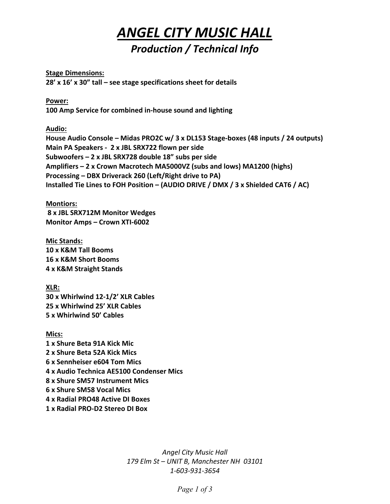## *ANGEL CITY MUSIC HALL Production / Technical Info*

**Stage Dimensions:**

**28' x 16' x 30" tall – see stage specifications sheet for details**

**Power: 100 Amp Service for combined in-house sound and lighting**

**Audio:**

**House Audio Console – Midas PRO2C w/ 3 x DL153 Stage-boxes (48 inputs / 24 outputs) Main PA Speakers - 2 x JBL SRX722 flown per side Subwoofers – 2 x JBL SRX728 double 18" subs per side Amplifiers – 2 x Crown Macrotech MA5000VZ (subs and lows) MA1200 (highs) Processing – DBX Driverack 260 (Left/Right drive to PA) Installed Tie Lines to FOH Position – (AUDIO DRIVE / DMX / 3 x Shielded CAT6 / AC)** 

**Montiors:**

**8 x JBL SRX712M Monitor Wedges Monitor Amps – Crown XTI-6002**

**Mic Stands: 10 x K&M Tall Booms 16 x K&M Short Booms 4 x K&M Straight Stands**

**XLR: 30 x Whirlwind 12-1/2' XLR Cables 25 x Whirlwind 25' XLR Cables 5 x Whirlwind 50' Cables**

**Mics: 1 x Shure Beta 91A Kick Mic 2 x Shure Beta 52A Kick Mics 6 x Sennheiser e604 Tom Mics 4 x Audio Technica AE5100 Condenser Mics 8 x Shure SM57 Instrument Mics 6 x Shure SM58 Vocal Mics 4 x Radial PRO48 Active DI Boxes 1 x Radial PRO-D2 Stereo DI Box**

> *Angel City Music Hall 179 Elm St – UNIT B, Manchester NH 03101 1-603-931-3654*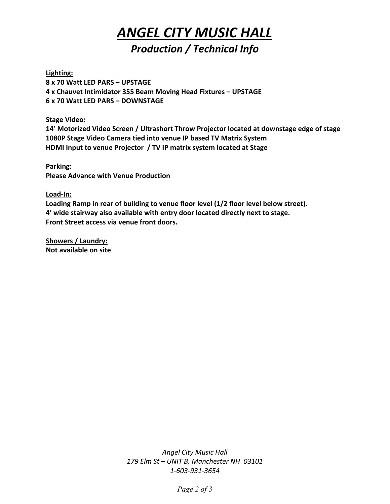## *ANGEL CITY MUSIC HALL Production / Technical Info*

**Lighting:**

**8 x 70 Watt LED PARS – UPSTAGE 4 x Chauvet Intimidator 355 Beam Moving Head Fixtures – UPSTAGE 6 x 70 Watt LED PARS – DOWNSTAGE**

**Stage Video:**

**14' Motorized Video Screen / Ultrashort Throw Projector located at downstage edge of stage 1080P Stage Video Camera tied into venue IP based TV Matrix System HDMI Input to venue Projector / TV IP matrix system located at Stage**

**Parking: Please Advance with Venue Production**

**Load-In:**

**Loading Ramp in rear of building to venue floor level (1/2 floor level below street). 4' wide stairway also available with entry door located directly next to stage. Front Street access via venue front doors.**

**Showers / Laundry: Not available on site**

> *Angel City Music Hall 179 Elm St – UNIT B, Manchester NH 03101 1-603-931-3654*